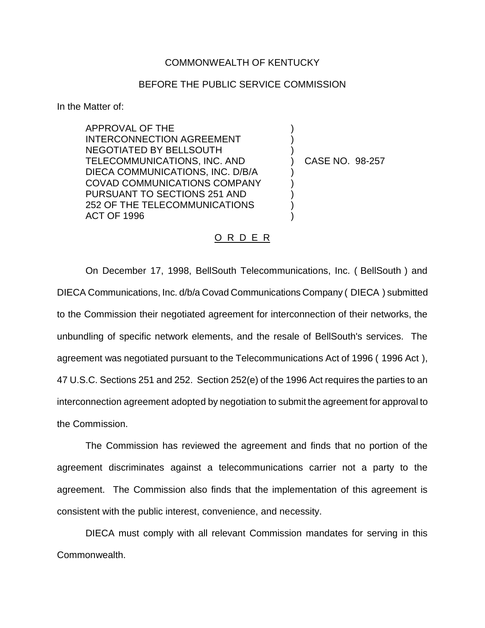## COMMONWEALTH OF KENTUCKY

## BEFORE THE PUBLIC SERVICE COMMISSION

) ) )

) ) ) ) )

In the Matter of:

APPROVAL OF THE INTERCONNECTION AGREEMENT NEGOTIATED BY BELLSOUTH TELECOMMUNICATIONS, INC. AND DIECA COMMUNICATIONS, INC. D/B/A COVAD COMMUNICATIONS COMPANY PURSUANT TO SECTIONS 251 AND 252 OF THE TELECOMMUNICATIONS ACT OF 1996

) CASE NO. 98-257

## O R D E R

On December 17, 1998, BellSouth Telecommunications, Inc. ( BellSouth ) and DIECA Communications, Inc. d/b/a Covad Communications Company ( DIECA ) submitted to the Commission their negotiated agreement for interconnection of their networks, the unbundling of specific network elements, and the resale of BellSouth's services. The agreement was negotiated pursuant to the Telecommunications Act of 1996 ( 1996 Act ), 47 U.S.C. Sections 251 and 252. Section 252(e) of the 1996 Act requires the parties to an interconnection agreement adopted by negotiation to submit the agreement for approval to the Commission.

The Commission has reviewed the agreement and finds that no portion of the agreement discriminates against a telecommunications carrier not a party to the agreement. The Commission also finds that the implementation of this agreement is consistent with the public interest, convenience, and necessity.

DIECA must comply with all relevant Commission mandates for serving in this Commonwealth.